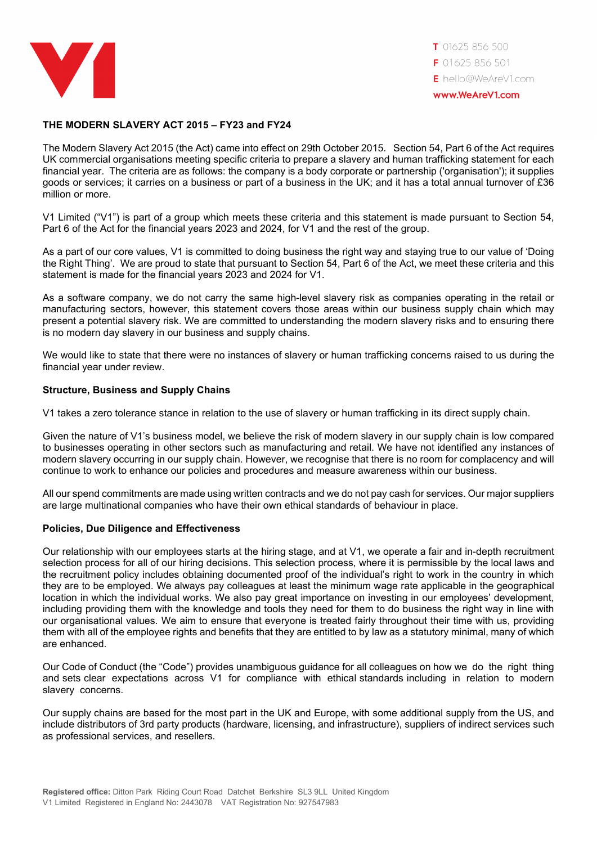

## **THE MODERN SLAVERY ACT 2015 – FY23 and FY24**

The Modern Slavery Act 2015 (the Act) came into effect on 29th October 2015. Section 54, Part 6 of the Act requires UK commercial organisations meeting specific criteria to prepare a slavery and human trafficking statement for each financial year. The criteria are as follows: the company is a body corporate or partnership ('organisation'); it supplies goods or services; it carries on a business or part of a business in the UK; and it has a total annual turnover of £36 million or more.

V1 Limited ("V1") is part of a group which meets these criteria and this statement is made pursuant to Section 54, Part 6 of the Act for the financial years 2023 and 2024, for V1 and the rest of the group.

As a part of our core values, V1 is committed to doing business the right way and staying true to our value of 'Doing the Right Thing'. We are proud to state that pursuant to Section 54, Part 6 of the Act, we meet these criteria and this statement is made for the financial years 2023 and 2024 for V1.

As a software company, we do not carry the same high-level slavery risk as companies operating in the retail or manufacturing sectors, however, this statement covers those areas within our business supply chain which may present a potential slavery risk. We are committed to understanding the modern slavery risks and to ensuring there is no modern day slavery in our business and supply chains.

We would like to state that there were no instances of slavery or human trafficking concerns raised to us during the financial year under review.

## **Structure, Business and Supply Chains**

V1 takes a zero tolerance stance in relation to the use of slavery or human trafficking in its direct supply chain.

Given the nature of V1's business model, we believe the risk of modern slavery in our supply chain is low compared to businesses operating in other sectors such as manufacturing and retail. We have not identified any instances of modern slavery occurring in our supply chain. However, we recognise that there is no room for complacency and will continue to work to enhance our policies and procedures and measure awareness within our business.

All our spend commitments are made using written contracts and we do not pay cash for services. Our major suppliers are large multinational companies who have their own ethical standards of behaviour in place.

## **Policies, Due Diligence and Effectiveness**

Our relationship with our employees starts at the hiring stage, and at V1, we operate a fair and in-depth recruitment selection process for all of our hiring decisions. This selection process, where it is permissible by the local laws and the recruitment policy includes obtaining documented proof of the individual's right to work in the country in which they are to be employed. We always pay colleagues at least the minimum wage rate applicable in the geographical location in which the individual works. We also pay great importance on investing in our employees' development, including providing them with the knowledge and tools they need for them to do business the right way in line with our organisational values. We aim to ensure that everyone is treated fairly throughout their time with us, providing them with all of the employee rights and benefits that they are entitled to by law as a statutory minimal, many of which are enhanced.

Our Code of Conduct (the "Code") provides unambiguous guidance for all colleagues on how we do the right thing and sets clear expectations across V1 for compliance with ethical standards including in relation to modern slavery concerns.

Our supply chains are based for the most part in the UK and Europe, with some additional supply from the US, and include distributors of 3rd party products (hardware, licensing, and infrastructure), suppliers of indirect services such as professional services, and resellers.